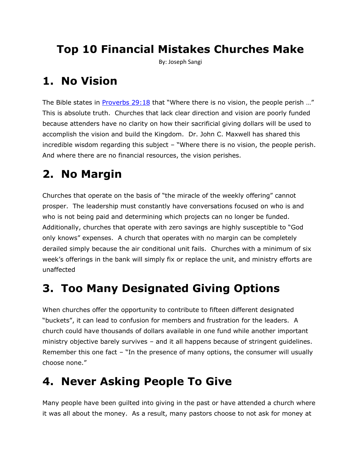# **Top 10 Financial Mistakes Churches Make**

By: Joseph Sangi

## **1. No Vision**

The Bible states in **[Proverbs 29:18](http://biblegateway.com/bible?version=31&passage=Proverbs+29%3A18)** that "Where there is no vision, the people perish ..." This is absolute truth. Churches that lack clear direction and vision are poorly funded because attenders have no clarity on how their sacrificial giving dollars will be used to accomplish the vision and build the Kingdom. Dr. John C. Maxwell has shared this incredible wisdom regarding this subject – "Where there is no vision, the people perish. And where there are no financial resources, the vision perishes.

# **2. No Margin**

Churches that operate on the basis of "the miracle of the weekly offering" cannot prosper. The leadership must constantly have conversations focused on who is and who is not being paid and determining which projects can no longer be funded. Additionally, churches that operate with zero savings are highly susceptible to "God only knows" expenses. A church that operates with no margin can be completely derailed simply because the air conditional unit fails. Churches with a minimum of six week's offerings in the bank will simply fix or replace the unit, and ministry efforts are unaffected

# **3. Too Many Designated Giving Options**

When churches offer the opportunity to contribute to fifteen different designated "buckets", it can lead to confusion for members and frustration for the leaders. A church could have thousands of dollars available in one fund while another important ministry objective barely survives – and it all happens because of stringent guidelines. Remember this one fact – "In the presence of many options, the consumer will usually choose none."

## **4. Never Asking People To Give**

Many people have been guilted into giving in the past or have attended a church where it was all about the money. As a result, many pastors choose to not ask for money at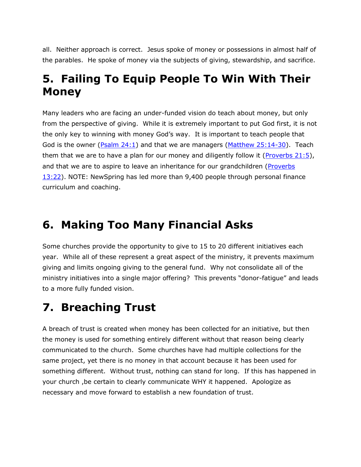all. Neither approach is correct. Jesus spoke of money or possessions in almost half of the parables. He spoke of money via the subjects of giving, stewardship, and sacrifice.

#### **5. Failing To Equip People To Win With Their Money**

Many leaders who are facing an under-funded vision do teach about money, but only from the perspective of giving. While it is extremely important to put God first, it is not the only key to winning with money God's way. It is important to teach people that God is the owner  $(P<sub>Salm</sub> 24:1)$  and that we are managers  $(M<sub>atthew</sub> 25:14-30)$ . Teach them that we are to have a plan for our money and diligently follow it (Proverbs  $21:5$ ), and that we are to aspire to leave an inheritance for our grandchildren [\(Proverbs](http://biblegateway.com/bible?version=31&passage=Proverbs+13%3A22)  [13:22\)](http://biblegateway.com/bible?version=31&passage=Proverbs+13%3A22). NOTE: NewSpring has led more than 9,400 people through personal finance curriculum and coaching.

#### **6. Making Too Many Financial Asks**

Some churches provide the opportunity to give to 15 to 20 different initiatives each year. While all of these represent a great aspect of the ministry, it prevents maximum giving and limits ongoing giving to the general fund. Why not consolidate all of the ministry initiatives into a single major offering? This prevents "donor-fatigue" and leads to a more fully funded vision.

### **7. Breaching Trust**

A breach of trust is created when money has been collected for an initiative, but then the money is used for something entirely different without that reason being clearly communicated to the church. Some churches have had multiple collections for the same project, yet there is no money in that account because it has been used for something different. Without trust, nothing can stand for long. If this has happened in your church ,be certain to clearly communicate WHY it happened. Apologize as necessary and move forward to establish a new foundation of trust.